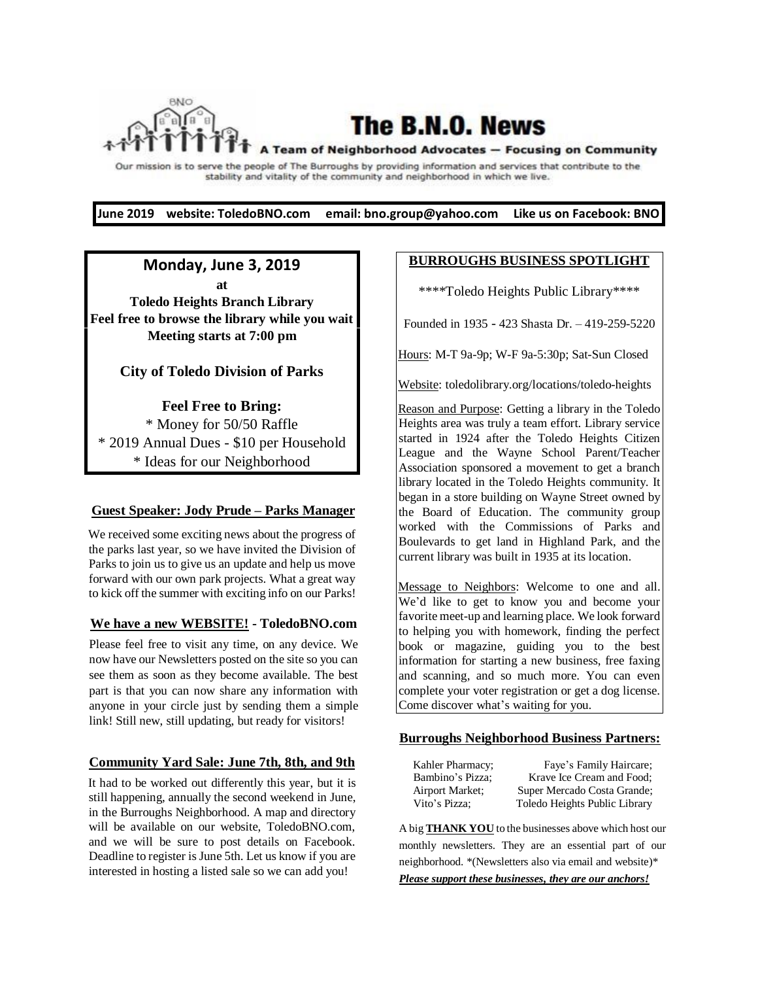

# The B.N.O. News

#### A Team of Neighborhood Advocates - Focusing on Community

Our mission is to serve the people of The Burroughs by providing information and services that contribute to the stability and vitality of the community and neighborhood in which we live.

**June 2019 website: ToledoBNO.com email: bno.group@yahoo.com Like us on Facebook: BNO** 

**Monday, June 3, 2019 at Toledo Heights Branch Library Feel free to browse the library while you wait Meeting starts at 7:00 pm** 

## **City of Toledo Division of Parks**

**Feel Free to Bring:**  \* Money for 50/50 Raffle \* 2019 Annual Dues - \$10 per Household \* Ideas for our Neighborhood

### **Guest Speaker: Jody Prude – Parks Manager**

We received some exciting news about the progress of the parks last year, so we have invited the Division of Parks to join us to give us an update and help us move forward with our own park projects. What a great way to kick off the summer with exciting info on our Parks!

#### **We have a new WEBSITE! - ToledoBNO.com**

Please feel free to visit any time, on any device. We now have our Newsletters posted on the site so you can see them as soon as they become available. The best part is that you can now share any information with anyone in your circle just by sending them a simple link! Still new, still updating, but ready for visitors!

### **Community Yard Sale: June 7th, 8th, and 9th**

It had to be worked out differently this year, but it is still happening, annually the second weekend in June, in the Burroughs Neighborhood. A map and directory will be available on our website, ToledoBNO.com, and we will be sure to post details on Facebook. Deadline to register is June 5th. Let us know if you are interested in hosting a listed sale so we can add you!

### **BURROUGHS BUSINESS SPOTLIGHT**

\*\*\*\*Toledo Heights Public Library\*\*\*\*

Founded in 1935 - 423 Shasta Dr. – 419-259-5220

Hours: M-T 9a-9p; W-F 9a-5:30p; Sat-Sun Closed

Website: toledolibrary.org/locations/toledo-heights

Reason and Purpose: Getting a library in the Toledo Heights area was truly a team effort. Library service started in 1924 after the Toledo Heights Citizen League and the Wayne School Parent/Teacher Association sponsored a movement to get a branch library located in the Toledo Heights community. It began in a store building on Wayne Street owned by the Board of Education. The community group worked with the Commissions of Parks and Boulevards to get land in Highland Park, and the current library was built in 1935 at its location.

Message to Neighbors: Welcome to one and all. We'd like to get to know you and become your favorite meet-up and learning place. We look forward to helping you with homework, finding the perfect book or magazine, guiding you to the best information for starting a new business, free faxing and scanning, and so much more. You can even complete your voter registration or get a dog license. Come discover what's waiting for you.

#### **Burroughs Neighborhood Business Partners:**

| Kahler Pharmacy;<br>Bambino's Pizza; | Faye's Family Haircare;<br>Krave Ice Cream and Food: |
|--------------------------------------|------------------------------------------------------|
| Airport Market;                      | Super Mercado Costa Grande;                          |
| Vito's Pizza;                        | Toledo Heights Public Library                        |

A big **THANK YOU** to the businesses above which host our monthly newsletters. They are an essential part of our neighborhood. \*(Newsletters also via email and website)\* *Please support these businesses, they are our anchors!*